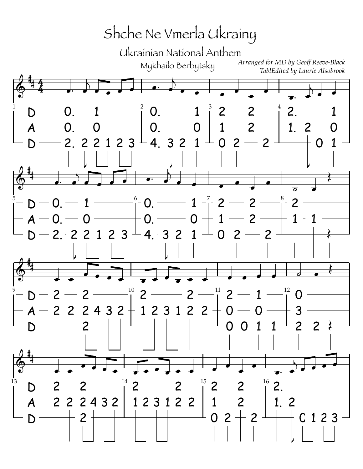